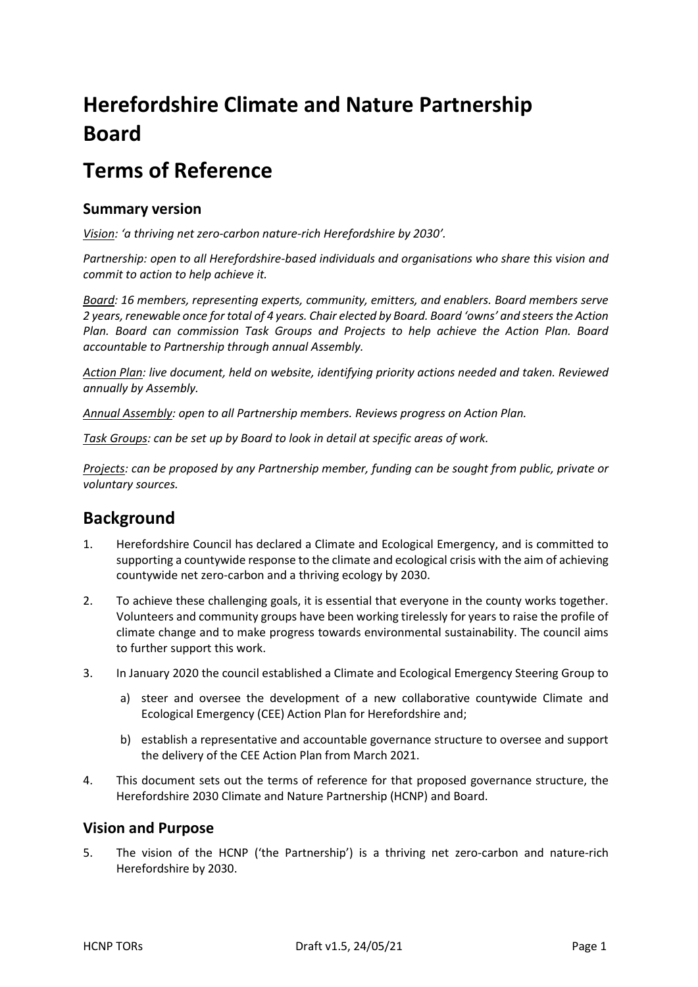# **Herefordshire Climate and Nature Partnership Board**

# **Terms of Reference**

## **Summary version**

*Vision: 'a thriving net zero-carbon nature-rich Herefordshire by 2030'.*

*Partnership: open to all Herefordshire-based individuals and organisations who share this vision and commit to action to help achieve it.*

*Board: 16 members, representing experts, community, emitters, and enablers. Board members serve 2 years, renewable once for total of 4 years. Chair elected by Board. Board 'owns' and steers the Action Plan. Board can commission Task Groups and Projects to help achieve the Action Plan. Board accountable to Partnership through annual Assembly.*

*Action Plan: live document, held on website, identifying priority actions needed and taken. Reviewed annually by Assembly.*

*Annual Assembly: open to all Partnership members. Reviews progress on Action Plan.*

*Task Groups: can be set up by Board to look in detail at specific areas of work.*

*Projects: can be proposed by any Partnership member, funding can be sought from public, private or voluntary sources.*

# **Background**

- 1. Herefordshire Council has declared a Climate and Ecological Emergency, and is committed to supporting a countywide response to the climate and ecological crisis with the aim of achieving countywide net zero-carbon and a thriving ecology by 2030.
- 2. To achieve these challenging goals, it is essential that everyone in the county works together. Volunteers and community groups have been working tirelessly for years to raise the profile of climate change and to make progress towards environmental sustainability. The council aims to further support this work.
- 3. In January 2020 the council established a Climate and Ecological Emergency Steering Group to
	- a) steer and oversee the development of a new collaborative countywide Climate and Ecological Emergency (CEE) Action Plan for Herefordshire and;
	- b) establish a representative and accountable governance structure to oversee and support the delivery of the CEE Action Plan from March 2021.
- 4. This document sets out the terms of reference for that proposed governance structure, the Herefordshire 2030 Climate and Nature Partnership (HCNP) and Board.

## **Vision and Purpose**

5. The vision of the HCNP ('the Partnership') is a thriving net zero-carbon and nature-rich Herefordshire by 2030.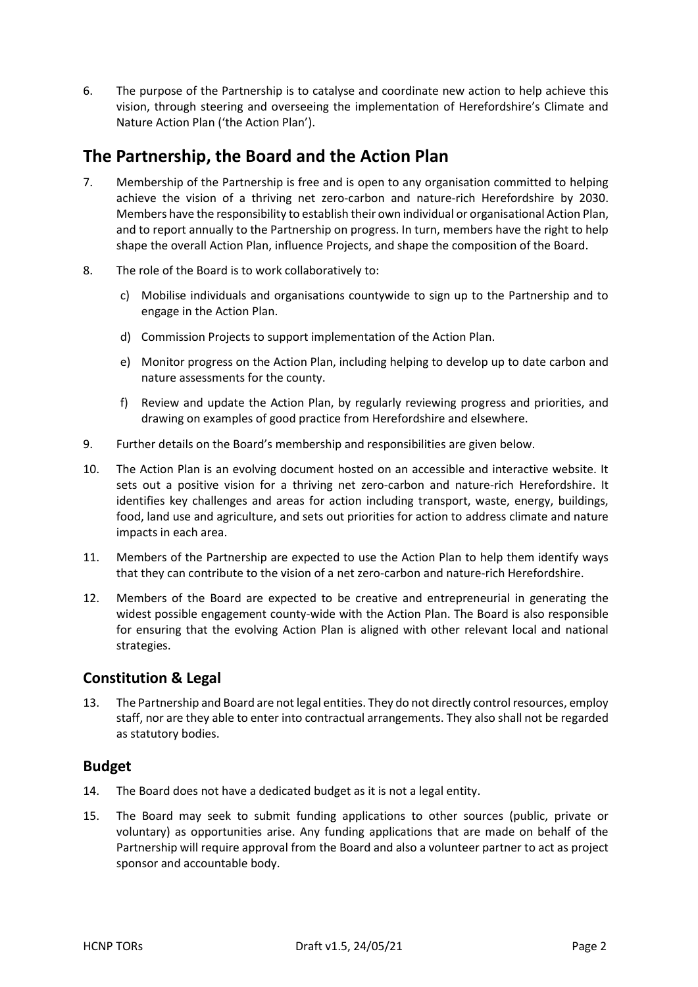6. The purpose of the Partnership is to catalyse and coordinate new action to help achieve this vision, through steering and overseeing the implementation of Herefordshire's Climate and Nature Action Plan ('the Action Plan').

# **The Partnership, the Board and the Action Plan**

- 7. Membership of the Partnership is free and is open to any organisation committed to helping achieve the vision of a thriving net zero-carbon and nature-rich Herefordshire by 2030. Members have the responsibility to establish their own individual or organisational Action Plan, and to report annually to the Partnership on progress. In turn, members have the right to help shape the overall Action Plan, influence Projects, and shape the composition of the Board.
- 8. The role of the Board is to work collaboratively to:
	- c) Mobilise individuals and organisations countywide to sign up to the Partnership and to engage in the Action Plan.
	- d) Commission Projects to support implementation of the Action Plan.
	- e) Monitor progress on the Action Plan, including helping to develop up to date carbon and nature assessments for the county.
	- f) Review and update the Action Plan, by regularly reviewing progress and priorities, and drawing on examples of good practice from Herefordshire and elsewhere.
- 9. Further details on the Board's membership and responsibilities are given below.
- 10. The Action Plan is an evolving document hosted on an accessible and interactive website. It sets out a positive vision for a thriving net zero-carbon and nature-rich Herefordshire. It identifies key challenges and areas for action including transport, waste, energy, buildings, food, land use and agriculture, and sets out priorities for action to address climate and nature impacts in each area.
- 11. Members of the Partnership are expected to use the Action Plan to help them identify ways that they can contribute to the vision of a net zero-carbon and nature-rich Herefordshire.
- 12. Members of the Board are expected to be creative and entrepreneurial in generating the widest possible engagement county-wide with the Action Plan. The Board is also responsible for ensuring that the evolving Action Plan is aligned with other relevant local and national strategies.

## **Constitution & Legal**

13. The Partnership and Board are not legal entities. They do not directly control resources, employ staff, nor are they able to enter into contractual arrangements. They also shall not be regarded as statutory bodies.

## **Budget**

- 14. The Board does not have a dedicated budget as it is not a legal entity.
- 15. The Board may seek to submit funding applications to other sources (public, private or voluntary) as opportunities arise. Any funding applications that are made on behalf of the Partnership will require approval from the Board and also a volunteer partner to act as project sponsor and accountable body.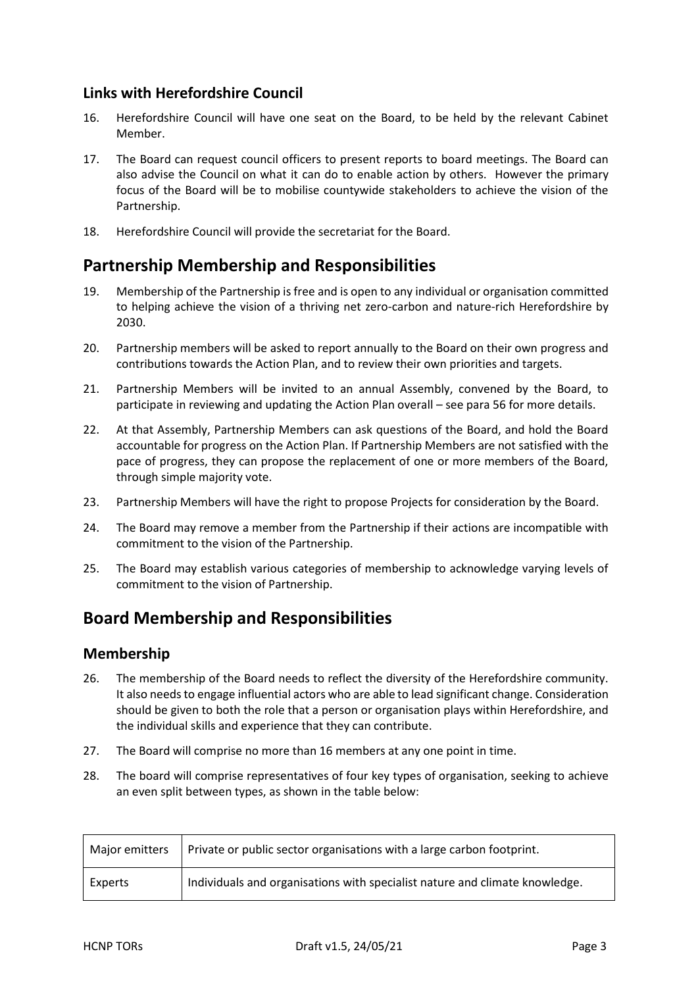## **Links with Herefordshire Council**

- 16. Herefordshire Council will have one seat on the Board, to be held by the relevant Cabinet Member.
- 17. The Board can request council officers to present reports to board meetings. The Board can also advise the Council on what it can do to enable action by others. However the primary focus of the Board will be to mobilise countywide stakeholders to achieve the vision of the Partnership.
- 18. Herefordshire Council will provide the secretariat for the Board.

## **Partnership Membership and Responsibilities**

- 19. Membership of the Partnership is free and is open to any individual or organisation committed to helping achieve the vision of a thriving net zero-carbon and nature-rich Herefordshire by 2030.
- 20. Partnership members will be asked to report annually to the Board on their own progress and contributions towards the Action Plan, and to review their own priorities and targets.
- 21. Partnership Members will be invited to an annual Assembly, convened by the Board, to participate in reviewing and updating the Action Plan overall – see para 56 for more details.
- 22. At that Assembly, Partnership Members can ask questions of the Board, and hold the Board accountable for progress on the Action Plan. If Partnership Members are not satisfied with the pace of progress, they can propose the replacement of one or more members of the Board, through simple majority vote.
- 23. Partnership Members will have the right to propose Projects for consideration by the Board.
- 24. The Board may remove a member from the Partnership if their actions are incompatible with commitment to the vision of the Partnership.
- 25. The Board may establish various categories of membership to acknowledge varying levels of commitment to the vision of Partnership.

# **Board Membership and Responsibilities**

## **Membership**

- 26. The membership of the Board needs to reflect the diversity of the Herefordshire community. It also needs to engage influential actors who are able to lead significant change. Consideration should be given to both the role that a person or organisation plays within Herefordshire, and the individual skills and experience that they can contribute.
- 27. The Board will comprise no more than 16 members at any one point in time.
- 28. The board will comprise representatives of four key types of organisation, seeking to achieve an even split between types, as shown in the table below:

| Major emitters | Private or public sector organisations with a large carbon footprint.       |
|----------------|-----------------------------------------------------------------------------|
| Experts        | Individuals and organisations with specialist nature and climate knowledge. |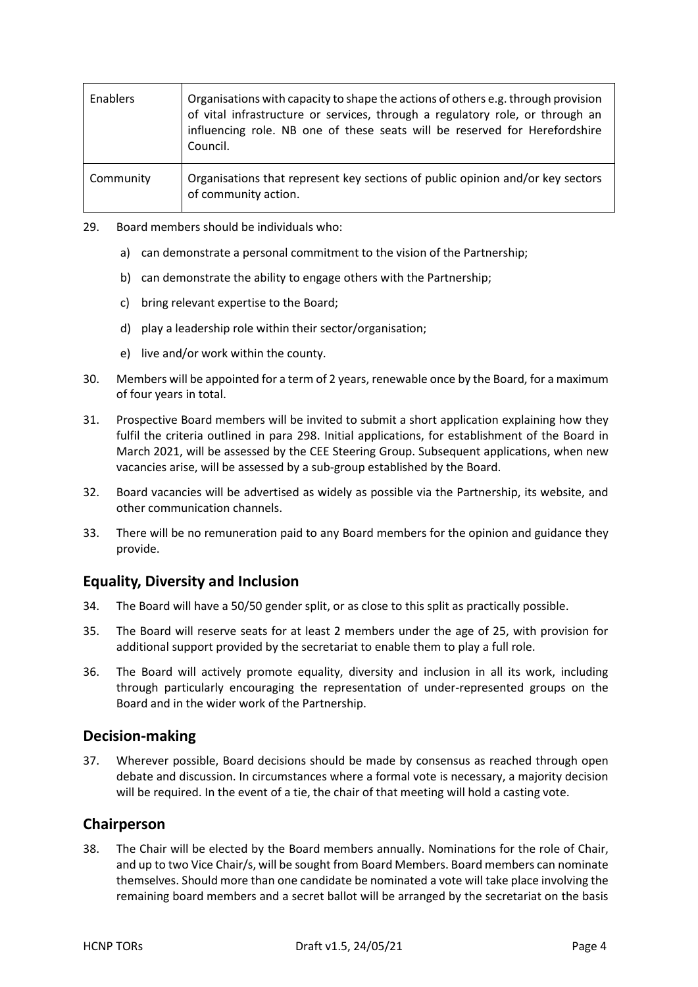| Enablers  | Organisations with capacity to shape the actions of others e.g. through provision<br>of vital infrastructure or services, through a regulatory role, or through an<br>influencing role. NB one of these seats will be reserved for Herefordshire<br>Council. |
|-----------|--------------------------------------------------------------------------------------------------------------------------------------------------------------------------------------------------------------------------------------------------------------|
| Community | Organisations that represent key sections of public opinion and/or key sectors<br>of community action.                                                                                                                                                       |

- <span id="page-3-0"></span>29. Board members should be individuals who:
	- a) can demonstrate a personal commitment to the vision of the Partnership;
	- b) can demonstrate the ability to engage others with the Partnership;
	- c) bring relevant expertise to the Board;
	- d) play a leadership role within their sector/organisation;
	- e) live and/or work within the county.
- 30. Members will be appointed for a term of 2 years, renewable once by the Board, for a maximum of four years in total.
- 31. Prospective Board members will be invited to submit a short application explaining how they fulfil the criteria outlined in para [298](#page-3-0). Initial applications, for establishment of the Board in March 2021, will be assessed by the CEE Steering Group. Subsequent applications, when new vacancies arise, will be assessed by a sub-group established by the Board.
- 32. Board vacancies will be advertised as widely as possible via the Partnership, its website, and other communication channels.
- 33. There will be no remuneration paid to any Board members for the opinion and guidance they provide.

## **Equality, Diversity and Inclusion**

- 34. The Board will have a 50/50 gender split, or as close to this split as practically possible.
- 35. The Board will reserve seats for at least 2 members under the age of 25, with provision for additional support provided by the secretariat to enable them to play a full role.
- 36. The Board will actively promote equality, diversity and inclusion in all its work, including through particularly encouraging the representation of under-represented groups on the Board and in the wider work of the Partnership.

## **Decision-making**

37. Wherever possible, Board decisions should be made by consensus as reached through open debate and discussion. In circumstances where a formal vote is necessary, a majority decision will be required. In the event of a tie, the chair of that meeting will hold a casting vote.

## **Chairperson**

38. The Chair will be elected by the Board members annually. Nominations for the role of Chair, and up to two Vice Chair/s, will be sought from Board Members. Board members can nominate themselves. Should more than one candidate be nominated a vote will take place involving the remaining board members and a secret ballot will be arranged by the secretariat on the basis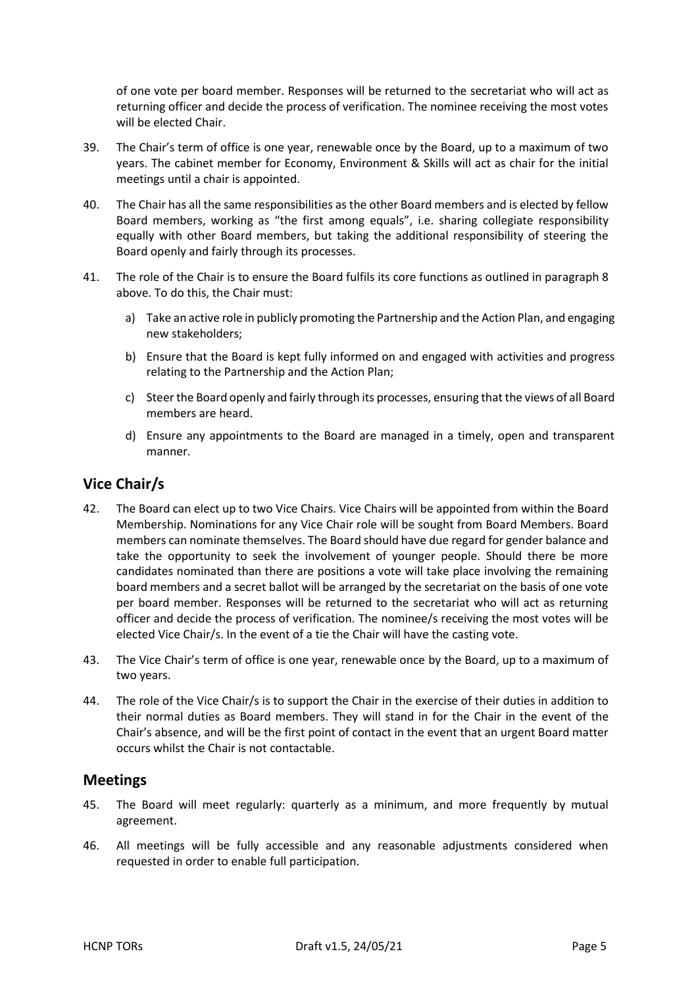of one vote per board member. Responses will be returned to the secretariat who will act as returning officer and decide the process of verification. The nominee receiving the most votes will be elected Chair.

- 39. The Chair's term of office is one year, renewable once by the Board, up to a maximum of two years. The cabinet member for Economy, Environment & Skills will act as chair for the initial meetings until a chair is appointed.
- 40. The Chair has all the same responsibilities as the other Board members and is elected by fellow Board members, working as "the first among equals", i.e. sharing collegiate responsibility equally with other Board members, but taking the additional responsibility of steering the Board openly and fairly through its processes.
- 41. The role of the Chair is to ensure the Board fulfils its core functions as outlined in paragraph 8 above. To do this, the Chair must:
	- a) Take an active role in publicly promoting the Partnership and the Action Plan, and engaging new stakeholders;
	- b) Ensure that the Board is kept fully informed on and engaged with activities and progress relating to the Partnership and the Action Plan;
	- c) Steer the Board openly and fairly through its processes, ensuring that the views of all Board members are heard.
	- d) Ensure any appointments to the Board are managed in a timely, open and transparent manner.

## **Vice Chair/s**

- 42. The Board can elect up to two Vice Chairs. Vice Chairs will be appointed from within the Board Membership. Nominations for any Vice Chair role will be sought from Board Members. Board members can nominate themselves. The Board should have due regard for gender balance and take the opportunity to seek the involvement of younger people. Should there be more candidates nominated than there are positions a vote will take place involving the remaining board members and a secret ballot will be arranged by the secretariat on the basis of one vote per board member. Responses will be returned to the secretariat who will act as returning officer and decide the process of verification. The nominee/s receiving the most votes will be elected Vice Chair/s. In the event of a tie the Chair will have the casting vote.
- 43. The Vice Chair's term of office is one year, renewable once by the Board, up to a maximum of two years.
- 44. The role of the Vice Chair/s is to support the Chair in the exercise of their duties in addition to their normal duties as Board members. They will stand in for the Chair in the event of the Chair's absence, and will be the first point of contact in the event that an urgent Board matter occurs whilst the Chair is not contactable.

## **Meetings**

- 45. The Board will meet regularly: quarterly as a minimum, and more frequently by mutual agreement.
- 46. All meetings will be fully accessible and any reasonable adjustments considered when requested in order to enable full participation.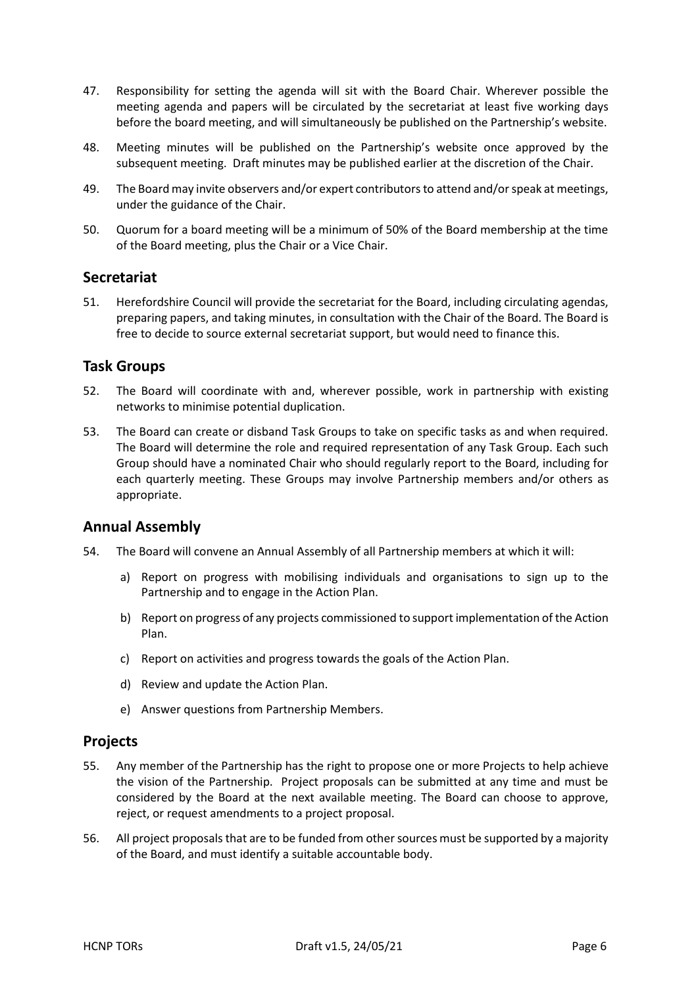- 47. Responsibility for setting the agenda will sit with the Board Chair. Wherever possible the meeting agenda and papers will be circulated by the secretariat at least five working days before the board meeting, and will simultaneously be published on the Partnership's website.
- 48. Meeting minutes will be published on the Partnership's website once approved by the subsequent meeting. Draft minutes may be published earlier at the discretion of the Chair.
- 49. The Board may invite observers and/or expert contributors to attend and/or speak at meetings, under the guidance of the Chair.
- 50. Quorum for a board meeting will be a minimum of 50% of the Board membership at the time of the Board meeting, plus the Chair or a Vice Chair.

#### **Secretariat**

51. Herefordshire Council will provide the secretariat for the Board, including circulating agendas, preparing papers, and taking minutes, in consultation with the Chair of the Board. The Board is free to decide to source external secretariat support, but would need to finance this.

#### **Task Groups**

- 52. The Board will coordinate with and, wherever possible, work in partnership with existing networks to minimise potential duplication.
- 53. The Board can create or disband Task Groups to take on specific tasks as and when required. The Board will determine the role and required representation of any Task Group. Each such Group should have a nominated Chair who should regularly report to the Board, including for each quarterly meeting. These Groups may involve Partnership members and/or others as appropriate.

## **Annual Assembly**

- 54. The Board will convene an Annual Assembly of all Partnership members at which it will:
	- a) Report on progress with mobilising individuals and organisations to sign up to the Partnership and to engage in the Action Plan.
	- b) Report on progress of any projects commissioned to support implementation of the Action Plan.
	- c) Report on activities and progress towards the goals of the Action Plan.
	- d) Review and update the Action Plan.
	- e) Answer questions from Partnership Members.

#### **Projects**

- 55. Any member of the Partnership has the right to propose one or more Projects to help achieve the vision of the Partnership. Project proposals can be submitted at any time and must be considered by the Board at the next available meeting. The Board can choose to approve, reject, or request amendments to a project proposal.
- 56. All project proposals that are to be funded from other sources must be supported by a majority of the Board, and must identify a suitable accountable body.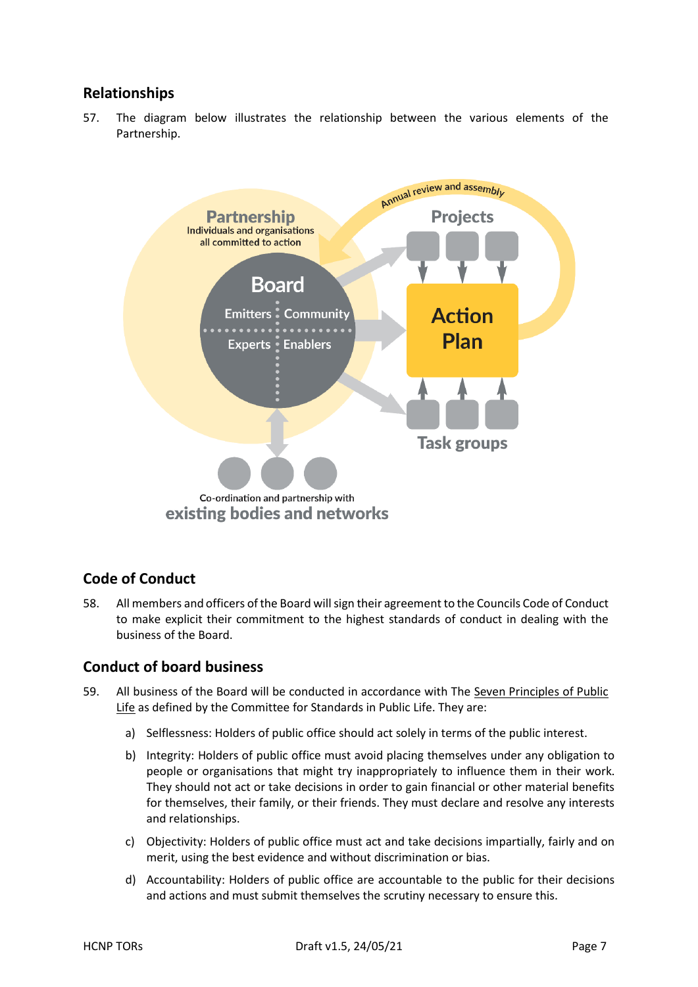## **Relationships**

57. The diagram below illustrates the relationship between the various elements of the Partnership.



## **Code of Conduct**

58. All members and officers of the Board will sign their agreement to the Councils Code of Conduct to make explicit their commitment to the highest standards of conduct in dealing with the business of the Board.

## **Conduct of board business**

- 59. All business of the Board will be conducted in accordance with The Seven Principles of Public Life as defined by the Committee for Standards in Public Life. They are:
	- a) Selflessness: Holders of public office should act solely in terms of the public interest.
	- b) Integrity: Holders of public office must avoid placing themselves under any obligation to people or organisations that might try inappropriately to influence them in their work. They should not act or take decisions in order to gain financial or other material benefits for themselves, their family, or their friends. They must declare and resolve any interests and relationships.
	- c) Objectivity: Holders of public office must act and take decisions impartially, fairly and on merit, using the best evidence and without discrimination or bias.
	- d) Accountability: Holders of public office are accountable to the public for their decisions and actions and must submit themselves the scrutiny necessary to ensure this.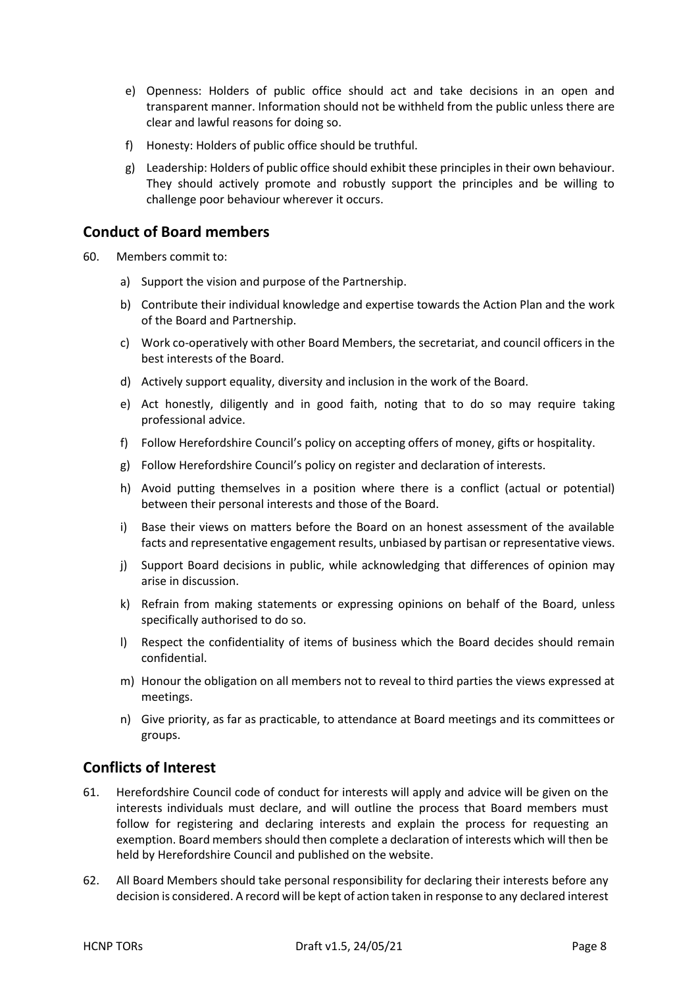- e) Openness: Holders of public office should act and take decisions in an open and transparent manner. Information should not be withheld from the public unless there are clear and lawful reasons for doing so.
- f) Honesty: Holders of public office should be truthful.
- g) Leadership: Holders of public office should exhibit these principles in their own behaviour. They should actively promote and robustly support the principles and be willing to challenge poor behaviour wherever it occurs.

## **Conduct of Board members**

- 60. Members commit to:
	- a) Support the vision and purpose of the Partnership.
	- b) Contribute their individual knowledge and expertise towards the Action Plan and the work of the Board and Partnership.
	- c) Work co-operatively with other Board Members, the secretariat, and council officers in the best interests of the Board.
	- d) Actively support equality, diversity and inclusion in the work of the Board.
	- e) Act honestly, diligently and in good faith, noting that to do so may require taking professional advice.
	- f) Follow Herefordshire Council's policy on accepting offers of money, gifts or hospitality.
	- g) Follow Herefordshire Council's policy on register and declaration of interests.
	- h) Avoid putting themselves in a position where there is a conflict (actual or potential) between their personal interests and those of the Board.
	- i) Base their views on matters before the Board on an honest assessment of the available facts and representative engagement results, unbiased by partisan or representative views.
	- j) Support Board decisions in public, while acknowledging that differences of opinion may arise in discussion.
	- k) Refrain from making statements or expressing opinions on behalf of the Board, unless specifically authorised to do so.
	- l) Respect the confidentiality of items of business which the Board decides should remain confidential.
	- m) Honour the obligation on all members not to reveal to third parties the views expressed at meetings.
	- n) Give priority, as far as practicable, to attendance at Board meetings and its committees or groups.

## **Conflicts of Interest**

- 61. Herefordshire Council code of conduct for interests will apply and advice will be given on the interests individuals must declare, and will outline the process that Board members must follow for registering and declaring interests and explain the process for requesting an exemption. Board members should then complete a declaration of interests which will then be held by Herefordshire Council and published on the website.
- 62. All Board Members should take personal responsibility for declaring their interests before any decision is considered. A record will be kept of action taken in response to any declared interest